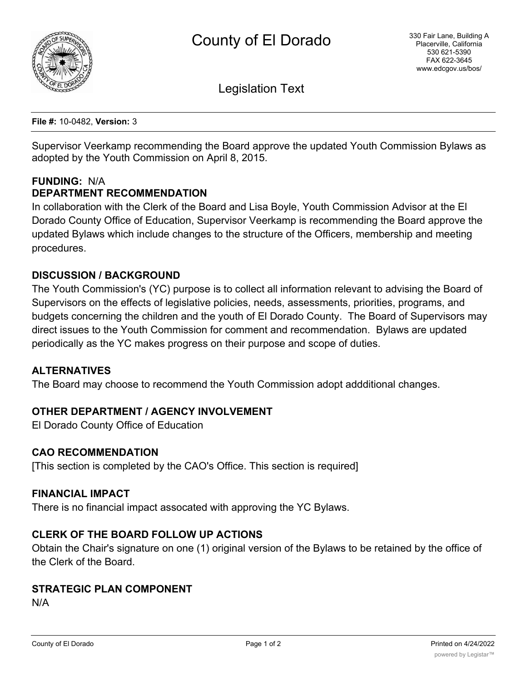

Legislation Text

**File #:** 10-0482, **Version:** 3

Supervisor Veerkamp recommending the Board approve the updated Youth Commission Bylaws as adopted by the Youth Commission on April 8, 2015.

### **FUNDING:** N/A **DEPARTMENT RECOMMENDATION**

In collaboration with the Clerk of the Board and Lisa Boyle, Youth Commission Advisor at the El Dorado County Office of Education, Supervisor Veerkamp is recommending the Board approve the updated Bylaws which include changes to the structure of the Officers, membership and meeting procedures.

## **DISCUSSION / BACKGROUND**

The Youth Commission's (YC) purpose is to collect all information relevant to advising the Board of Supervisors on the effects of legislative policies, needs, assessments, priorities, programs, and budgets concerning the children and the youth of El Dorado County. The Board of Supervisors may direct issues to the Youth Commission for comment and recommendation. Bylaws are updated periodically as the YC makes progress on their purpose and scope of duties.

### **ALTERNATIVES**

The Board may choose to recommend the Youth Commission adopt addditional changes.

### **OTHER DEPARTMENT / AGENCY INVOLVEMENT**

El Dorado County Office of Education

### **CAO RECOMMENDATION**

[This section is completed by the CAO's Office. This section is required]

#### **FINANCIAL IMPACT**

There is no financial impact assocated with approving the YC Bylaws.

### **CLERK OF THE BOARD FOLLOW UP ACTIONS**

Obtain the Chair's signature on one (1) original version of the Bylaws to be retained by the office of the Clerk of the Board.

### **STRATEGIC PLAN COMPONENT**

N/A